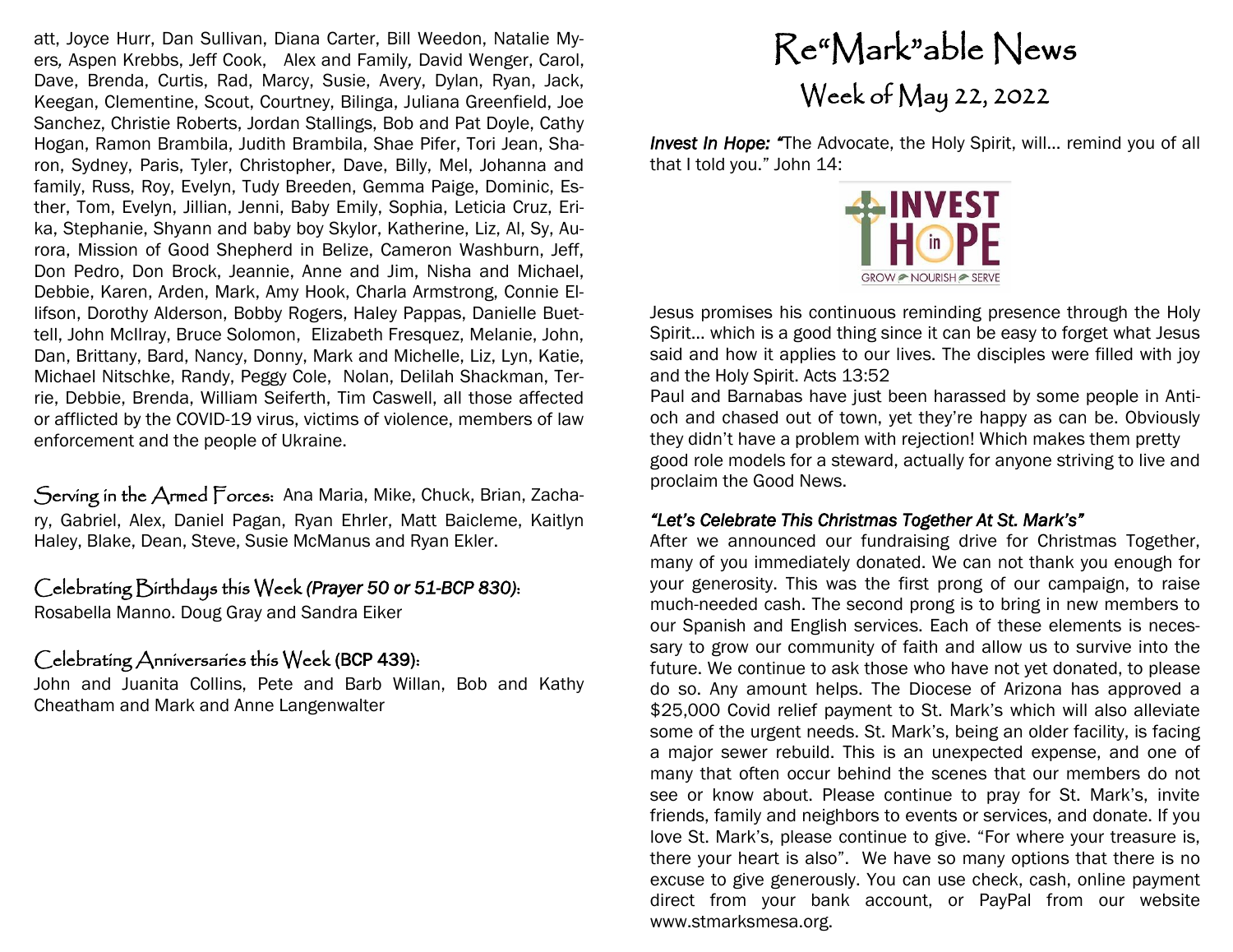att, Joyce Hurr, Dan Sullivan, Diana Carter, Bill Weedon, Natalie Myers*,* Aspen Krebbs, Jeff Cook, Alex and Family*,* David Wenger, Carol, Dave, Brenda, Curtis, Rad, Marcy, Susie, Avery, Dylan, Ryan, Jack, Keegan, Clementine, Scout, Courtney, Bilinga, Juliana Greenfield, Joe Sanchez, Christie Roberts, Jordan Stallings, Bob and Pat Doyle, Cathy Hogan, Ramon Brambila, Judith Brambila, Shae Pifer, Tori Jean, Sharon, Sydney, Paris, Tyler, Christopher, Dave, Billy, Mel, Johanna and family, Russ, Roy, Evelyn, Tudy Breeden, Gemma Paige, Dominic, Esther, Tom, Evelyn, Jillian, Jenni, Baby Emily, Sophia, Leticia Cruz, Erika, Stephanie, Shyann and baby boy Skylor, Katherine, Liz, Al, Sy, Aurora, Mission of Good Shepherd in Belize, Cameron Washburn, Jeff, Don Pedro, Don Brock, Jeannie, Anne and Jim, Nisha and Michael, Debbie, Karen, Arden, Mark, Amy Hook, Charla Armstrong, Connie Ellifson, Dorothy Alderson, Bobby Rogers, Haley Pappas, Danielle Buettell, John McIlray, Bruce Solomon, Elizabeth Fresquez, Melanie, John, Dan, Brittany, Bard, Nancy, Donny, Mark and Michelle, Liz, Lyn, Katie, Michael Nitschke, Randy, Peggy Cole, Nolan, Delilah Shackman, Terrie, Debbie, Brenda, William Seiferth, Tim Caswell, all those affected or afflicted by the COVID-19 virus, victims of violence, members of law enforcement and the people of Ukraine.

Serving in the Armed Forces: Ana Maria, Mike, Chuck, Brian, Zachary, Gabriel, Alex, Daniel Pagan, Ryan Ehrler, Matt Baicleme, Kaitlyn Haley, Blake, Dean, Steve, Susie McManus and Ryan Ekler.

#### Celebrating Birthdays this Week *(Prayer 50 or 51-BCP 830)*:

Rosabella Manno. Doug Gray and Sandra Eiker

### Celebrating Anniversaries this Week (BCP 439):

John and Juanita Collins, Pete and Barb Willan, Bob and Kathy Cheatham and Mark and Anne Langenwalter

# Re"Mark"able News Week of May 22, 2022

*Invest In Hope: "The Advocate, the Holy Spirit, will... remind you of all* that I told you." John 14:



Jesus promises his continuous reminding presence through the Holy Spirit… which is a good thing since it can be easy to forget what Jesus said and how it applies to our lives. The disciples were filled with joy and the Holy Spirit. Acts 13:52

Paul and Barnabas have just been harassed by some people in Antioch and chased out of town, yet they're happy as can be. Obviously they didn't have a problem with rejection! Which makes them pretty good role models for a steward, actually for anyone striving to live and proclaim the Good News.

### *"Let's Celebrate This Christmas Together At St. Mark's"*

After we announced our fundraising drive for Christmas Together, many of you immediately donated. We can not thank you enough for your generosity. This was the first prong of our campaign, to raise much-needed cash. The second prong is to bring in new members to our Spanish and English services. Each of these elements is necessary to grow our community of faith and allow us to survive into the future. We continue to ask those who have not yet donated, to please do so. Any amount helps. The Diocese of Arizona has approved a \$25,000 Covid relief payment to St. Mark's which will also alleviate some of the urgent needs. St. Mark's, being an older facility, is facing a major sewer rebuild. This is an unexpected expense, and one of many that often occur behind the scenes that our members do not see or know about. Please continue to pray for St. Mark's, invite friends, family and neighbors to events or services, and donate. If you love St. Mark's, please continue to give. "For where your treasure is, there your heart is also". We have so many options that there is no excuse to give generously. You can use check, cash, online payment direct from your bank account, or PayPal from our website www.stmarksmesa.org.